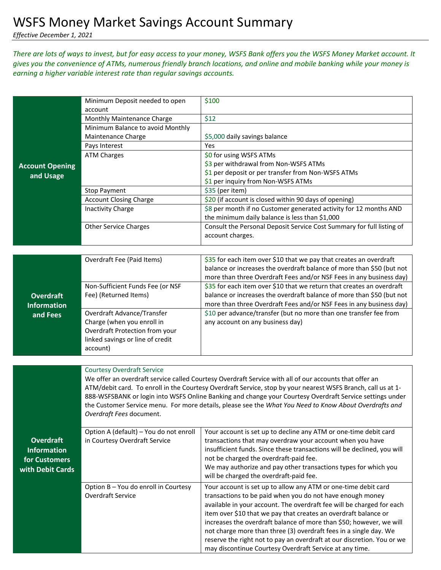*Effective December 1, 2021*

## *There are lots of ways to invest, but for easy access to your money, WSFS Bank offers you the WSFS Money Market account. It gives you the convenience of ATMs, numerous friendly branch locations, and online and mobile banking while your money is earning a higher variable interest rate than regular savings accounts.*

|                                        | Minimum Deposit needed to open                                                                                                                                                                                         | \$100                                                                                                                                       |  |
|----------------------------------------|------------------------------------------------------------------------------------------------------------------------------------------------------------------------------------------------------------------------|---------------------------------------------------------------------------------------------------------------------------------------------|--|
|                                        | account<br>Monthly Maintenance Charge                                                                                                                                                                                  | \$12                                                                                                                                        |  |
|                                        | Minimum Balance to avoid Monthly                                                                                                                                                                                       |                                                                                                                                             |  |
|                                        | Maintenance Charge                                                                                                                                                                                                     | \$5,000 daily savings balance                                                                                                               |  |
|                                        | Pays Interest                                                                                                                                                                                                          | Yes                                                                                                                                         |  |
|                                        | <b>ATM Charges</b>                                                                                                                                                                                                     | \$0 for using WSFS ATMs                                                                                                                     |  |
| <b>Account Opening</b>                 |                                                                                                                                                                                                                        | \$3 per withdrawal from Non-WSFS ATMs                                                                                                       |  |
| and Usage                              |                                                                                                                                                                                                                        | \$1 per deposit or per transfer from Non-WSFS ATMs                                                                                          |  |
|                                        |                                                                                                                                                                                                                        | \$1 per inquiry from Non-WSFS ATMs                                                                                                          |  |
|                                        | <b>Stop Payment</b>                                                                                                                                                                                                    | \$35 (per item)                                                                                                                             |  |
|                                        | <b>Account Closing Charge</b>                                                                                                                                                                                          | \$20 (if account is closed within 90 days of opening)                                                                                       |  |
|                                        | <b>Inactivity Charge</b>                                                                                                                                                                                               | \$8 per month if no Customer generated activity for 12 months AND                                                                           |  |
|                                        |                                                                                                                                                                                                                        | the minimum daily balance is less than \$1,000                                                                                              |  |
|                                        | <b>Other Service Charges</b>                                                                                                                                                                                           | Consult the Personal Deposit Service Cost Summary for full listing of                                                                       |  |
|                                        |                                                                                                                                                                                                                        | account charges.                                                                                                                            |  |
|                                        |                                                                                                                                                                                                                        |                                                                                                                                             |  |
|                                        | Overdraft Fee (Paid Items)                                                                                                                                                                                             | \$35 for each item over \$10 that we pay that creates an overdraft<br>balance or increases the overdraft balance of more than \$50 (but not |  |
|                                        |                                                                                                                                                                                                                        | more than three Overdraft Fees and/or NSF Fees in any business day)                                                                         |  |
|                                        | Non-Sufficient Funds Fee (or NSF                                                                                                                                                                                       | \$35 for each item over \$10 that we return that creates an overdraft                                                                       |  |
| <b>Overdraft</b>                       | Fee) (Returned Items)                                                                                                                                                                                                  | balance or increases the overdraft balance of more than \$50 (but not                                                                       |  |
| <b>Information</b>                     |                                                                                                                                                                                                                        | more than three Overdraft Fees and/or NSF Fees in any business day)                                                                         |  |
| and Fees                               | Overdraft Advance/Transfer                                                                                                                                                                                             | \$10 per advance/transfer (but no more than one transfer fee from                                                                           |  |
|                                        | Charge (when you enroll in                                                                                                                                                                                             | any account on any business day)                                                                                                            |  |
|                                        | Overdraft Protection from your                                                                                                                                                                                         |                                                                                                                                             |  |
|                                        | linked savings or line of credit                                                                                                                                                                                       |                                                                                                                                             |  |
|                                        | account)                                                                                                                                                                                                               |                                                                                                                                             |  |
|                                        |                                                                                                                                                                                                                        |                                                                                                                                             |  |
|                                        | <b>Courtesy Overdraft Service</b>                                                                                                                                                                                      |                                                                                                                                             |  |
|                                        | We offer an overdraft service called Courtesy Overdraft Service with all of our accounts that offer an<br>ATM/debit card. To enroll in the Courtesy Overdraft Service, stop by your nearest WSFS Branch, call us at 1- |                                                                                                                                             |  |
|                                        | 888-WSFSBANK or login into WSFS Online Banking and change your Courtesy Overdraft Service settings under                                                                                                               |                                                                                                                                             |  |
|                                        | the Customer Service menu. For more details, please see the What You Need to Know About Overdrafts and                                                                                                                 |                                                                                                                                             |  |
|                                        | Overdraft Fees document.                                                                                                                                                                                               |                                                                                                                                             |  |
|                                        |                                                                                                                                                                                                                        |                                                                                                                                             |  |
|                                        | Option A (default) - You do not enroll                                                                                                                                                                                 | Your account is set up to decline any ATM or one-time debit card                                                                            |  |
| <b>Overdraft</b><br><b>Information</b> | in Courtesy Overdraft Service                                                                                                                                                                                          | transactions that may overdraw your account when you have<br>insufficient funds. Since these transactions will be declined, you will        |  |
|                                        |                                                                                                                                                                                                                        | not be charged the overdraft-paid fee.                                                                                                      |  |
| for Customers                          |                                                                                                                                                                                                                        | We may authorize and pay other transactions types for which you                                                                             |  |
| with Debit Cards                       |                                                                                                                                                                                                                        | will be charged the overdraft-paid fee.                                                                                                     |  |
|                                        | Option B - You do enroll in Courtesy                                                                                                                                                                                   | Your account is set up to allow any ATM or one-time debit card                                                                              |  |
|                                        | Overdraft Service                                                                                                                                                                                                      | transactions to be paid when you do not have enough money                                                                                   |  |
|                                        |                                                                                                                                                                                                                        | available in your account. The overdraft fee will be charged for each                                                                       |  |
|                                        |                                                                                                                                                                                                                        | item over \$10 that we pay that creates an overdraft balance or                                                                             |  |
|                                        |                                                                                                                                                                                                                        | increases the overdraft balance of more than \$50; however, we will                                                                         |  |
|                                        |                                                                                                                                                                                                                        | not charge more than three (3) overdraft fees in a single day. We                                                                           |  |
|                                        |                                                                                                                                                                                                                        | reserve the right not to pay an overdraft at our discretion. You or we                                                                      |  |
|                                        |                                                                                                                                                                                                                        | may discontinue Courtesy Overdraft Service at any time.                                                                                     |  |